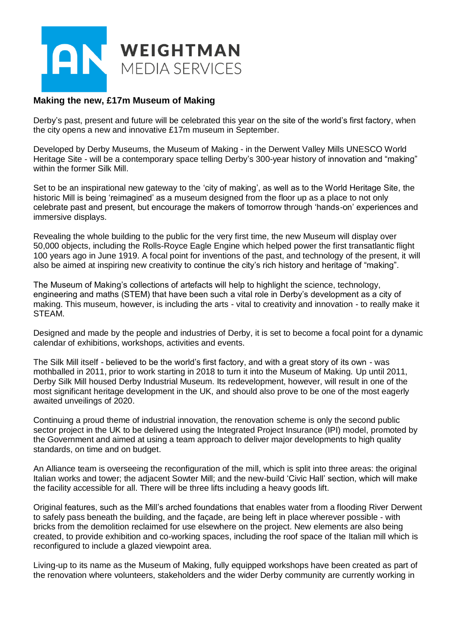

## **Making the new, £17m Museum of Making**

Derby's past, present and future will be celebrated this year on the site of the world's first factory, when the city opens a new and innovative £17m museum in September.

Developed by Derby Museums, the Museum of Making - in the Derwent Valley Mills UNESCO World Heritage Site - will be a contemporary space telling Derby's 300-year history of innovation and "making" within the former Silk Mill.

Set to be an inspirational new gateway to the 'city of making', as well as to the World Heritage Site, the historic Mill is being 'reimagined' as a museum designed from the floor up as a place to not only celebrate past and present, but encourage the makers of tomorrow through 'hands-on' experiences and immersive displays.

Revealing the whole building to the public for the very first time, the new Museum will display over 50,000 objects, including the Rolls-Royce Eagle Engine which helped power the first transatlantic flight 100 years ago in June 1919. A focal point for inventions of the past, and technology of the present, it will also be aimed at inspiring new creativity to continue the city's rich history and heritage of "making".

The Museum of Making's collections of artefacts will help to highlight the science, technology, engineering and maths (STEM) that have been such a vital role in Derby's development as a city of making. This museum, however, is including the arts - vital to creativity and innovation - to really make it STEAM.

Designed and made by the people and industries of Derby, it is set to become a focal point for a dynamic calendar of exhibitions, workshops, activities and events.

The Silk Mill itself - believed to be the world's first factory, and with a great story of its own - was mothballed in 2011, prior to work starting in 2018 to turn it into the Museum of Making. Up until 2011, Derby Silk Mill housed Derby Industrial Museum. Its redevelopment, however, will result in one of the most significant heritage development in the UK, and should also prove to be one of the most eagerly awaited unveilings of 2020.

Continuing a proud theme of industrial innovation, the renovation scheme is only the second public sector project in the UK to be delivered using the Integrated Project Insurance (IPI) model, promoted by the Government and aimed at using a team approach to deliver major developments to high quality standards, on time and on budget.

An Alliance team is overseeing the reconfiguration of the mill, which is split into three areas: the original Italian works and tower; the adjacent Sowter Mill; and the new-build 'Civic Hall' section, which will make the facility accessible for all. There will be three lifts including a heavy goods lift.

Original features, such as the Mill's arched foundations that enables water from a flooding River Derwent to safely pass beneath the building, and the façade, are being left in place wherever possible - with bricks from the demolition reclaimed for use elsewhere on the project. New elements are also being created, to provide exhibition and co-working spaces, including the roof space of the Italian mill which is reconfigured to include a glazed viewpoint area.

Living-up to its name as the Museum of Making, fully equipped workshops have been created as part of the renovation where volunteers, stakeholders and the wider Derby community are currently working in